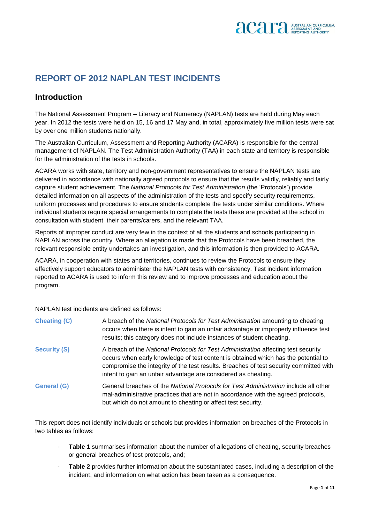

## **REPORT OF 2012 NAPLAN TEST INCIDENTS**

## **Introduction**

The National Assessment Program – Literacy and Numeracy (NAPLAN) tests are held during May each year. In 2012 the tests were held on 15, 16 and 17 May and, in total, approximately five million tests were sat by over one million students nationally.

The Australian Curriculum, Assessment and Reporting Authority (ACARA) is responsible for the central management of NAPLAN. The Test Administration Authority (TAA) in each state and territory is responsible for the administration of the tests in schools.

ACARA works with state, territory and non-government representatives to ensure the NAPLAN tests are delivered in accordance with nationally agreed protocols to ensure that the results validly, reliably and fairly capture student achievement. The *National Protocols for Test Administration* (the 'Protocols') provide detailed information on all aspects of the administration of the tests and specify security requirements, uniform processes and procedures to ensure students complete the tests under similar conditions. Where individual students require special arrangements to complete the tests these are provided at the school in consultation with student, their parents/carers, and the relevant TAA.

Reports of improper conduct are very few in the context of all the students and schools participating in NAPLAN across the country. Where an allegation is made that the Protocols have been breached, the relevant responsible entity undertakes an investigation, and this information is then provided to ACARA.

ACARA, in cooperation with states and territories, continues to review the Protocols to ensure they effectively support educators to administer the NAPLAN tests with consistency. Test incident information reported to ACARA is used to inform this review and to improve processes and education about the program.

NAPLAN test incidents are defined as follows:

| <b>Cheating (C)</b> | A breach of the National Protocols for Test Administration amounting to cheating<br>occurs when there is intent to gain an unfair advantage or improperly influence test<br>results; this category does not include instances of student cheating.                                                                                   |
|---------------------|--------------------------------------------------------------------------------------------------------------------------------------------------------------------------------------------------------------------------------------------------------------------------------------------------------------------------------------|
| <b>Security (S)</b> | A breach of the National Protocols for Test Administration affecting test security<br>occurs when early knowledge of test content is obtained which has the potential to<br>compromise the integrity of the test results. Breaches of test security committed with<br>intent to gain an unfair advantage are considered as cheating. |
| <b>General (G)</b>  | General breaches of the National Protocols for Test Administration include all other<br>mal-administrative practices that are not in accordance with the agreed protocols,<br>but which do not amount to cheating or affect test security.                                                                                           |

This report does not identify individuals or schools but provides information on breaches of the Protocols in two tables as follows:

- **Table 1** summarises information about the number of allegations of cheating, security breaches or general breaches of test protocols, and;
- **Table 2** provides further information about the substantiated cases, including a description of the incident, and information on what action has been taken as a consequence.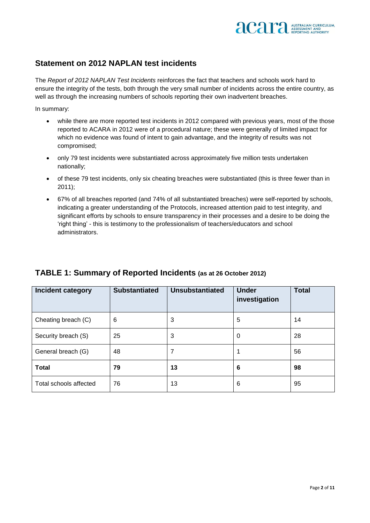

## **Statement on 2012 NAPLAN test incidents**

The *Report of 2012 NAPLAN Test Incidents* reinforces the fact that teachers and schools work hard to ensure the integrity of the tests, both through the very small number of incidents across the entire country, as well as through the increasing numbers of schools reporting their own inadvertent breaches.

In summary:

- while there are more reported test incidents in 2012 compared with previous years, most of the those reported to ACARA in 2012 were of a procedural nature; these were generally of limited impact for which no evidence was found of intent to gain advantage, and the integrity of results was not compromised;
- only 79 test incidents were substantiated across approximately five million tests undertaken nationally;
- of these 79 test incidents, only six cheating breaches were substantiated (this is three fewer than in 2011);
- 67% of all breaches reported (and 74% of all substantiated breaches) were self-reported by schools, indicating a greater understanding of the Protocols, increased attention paid to test integrity, and significant efforts by schools to ensure transparency in their processes and a desire to be doing the 'right thing' - this is testimony to the professionalism of teachers/educators and school administrators.

| Incident category      | <b>Substantiated</b> | <b>Unsubstantiated</b> | <b>Under</b><br>investigation | <b>Total</b> |
|------------------------|----------------------|------------------------|-------------------------------|--------------|
| Cheating breach (C)    | 6                    | 3                      | 5                             | 14           |
| Security breach (S)    | 25                   | 3                      | 0                             | 28           |
| General breach (G)     | 48                   |                        |                               | 56           |
| <b>Total</b>           | 79                   | 13                     | 6                             | 98           |
| Total schools affected | 76                   | 13                     | 6                             | 95           |

## **TABLE 1: Summary of Reported Incidents (as at 26 October 2012)**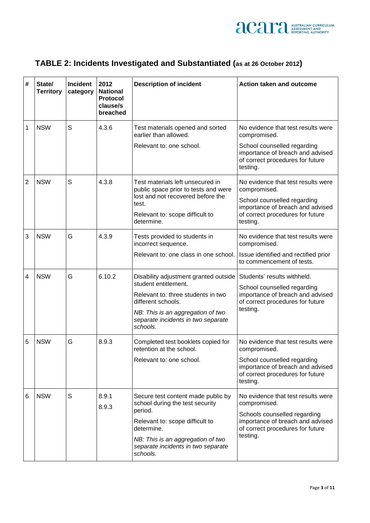

| TABLE 2: Incidents Investigated and Substantiated (as at 26 October 2012) |  |
|---------------------------------------------------------------------------|--|
|---------------------------------------------------------------------------|--|

| # | State/<br><b>Territory</b> | <b>Incident</b><br>category | 2012<br><b>National</b><br>Protocol<br>clause/s<br>breached | <b>Description of incident</b>                                                                                | <b>Action taken and outcome</b>                                                                                       |
|---|----------------------------|-----------------------------|-------------------------------------------------------------|---------------------------------------------------------------------------------------------------------------|-----------------------------------------------------------------------------------------------------------------------|
| 1 | <b>NSW</b>                 | S                           | 4.3.6                                                       | Test materials opened and sorted<br>earlier than allowed.<br>Relevant to: one school.                         | No evidence that test results were<br>compromised.<br>School counselled regarding<br>importance of breach and advised |
|   |                            |                             |                                                             |                                                                                                               | of correct procedures for future<br>testing.                                                                          |
| 2 | <b>NSW</b>                 | S                           | 4.3.8                                                       | Test materials left unsecured in<br>public space prior to tests and were<br>lost and not recovered before the | No evidence that test results were<br>compromised.                                                                    |
|   |                            |                             |                                                             | test.<br>Relevant to: scope difficult to<br>determine.                                                        | School counselled regarding<br>importance of breach and advised<br>of correct procedures for future<br>testing.       |
| 3 | <b>NSW</b>                 | G                           | 4.3.9                                                       | Tests provided to students in<br>incorrect sequence.                                                          | No evidence that test results were<br>compromised.                                                                    |
|   |                            |                             |                                                             | Relevant to: one class in one school.                                                                         | Issue identified and rectified prior<br>to commencement of tests.                                                     |
| 4 | <b>NSW</b>                 | G                           | 6.10.2                                                      | Disability adjustment granted outside<br>student entitlement.                                                 | Students' results withheld.                                                                                           |
|   |                            |                             |                                                             | Relevant to: three students in two<br>different schools.                                                      | School counselled regarding<br>importance of breach and advised<br>of correct procedures for future                   |
|   |                            |                             |                                                             | NB: This is an aggregation of two<br>separate incidents in two separate<br>schools.                           | testing.                                                                                                              |
| 5 | <b>NSW</b>                 | G                           | 8.9.3                                                       | Completed test booklets copied for<br>retention at the school.                                                | No evidence that test results were<br>compromised.                                                                    |
|   |                            |                             |                                                             | Relevant to: one school.                                                                                      | School counselled regarding<br>importance of breach and advised<br>of correct procedures for future<br>testing.       |
| 6 | <b>NSW</b>                 | S                           | 8.9.1<br>8.9.3                                              | Secure test content made public by<br>school during the test security                                         | No evidence that test results were<br>compromised.                                                                    |
|   |                            |                             |                                                             | period.<br>Relevant to: scope difficult to<br>determine.                                                      | Schools counselled regarding<br>importance of breach and advised<br>of correct procedures for future                  |
|   |                            |                             |                                                             | NB: This is an aggregation of two<br>separate incidents in two separate<br>schools.                           | testing.                                                                                                              |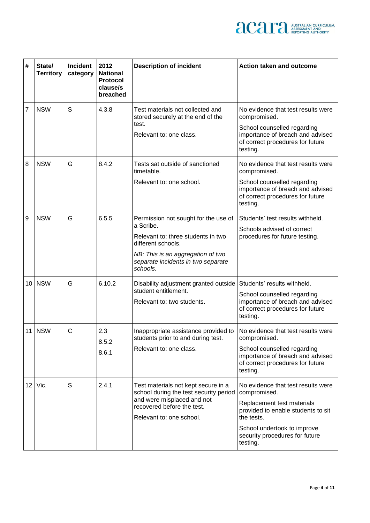

| # | State/<br><b>Territory</b> | <b>Incident</b><br>category | 2012<br><b>National</b><br>Protocol<br>clause/s<br>breached | <b>Description of incident</b>                                                                                                                                                                       | <b>Action taken and outcome</b>                                                                                                                                                                                   |
|---|----------------------------|-----------------------------|-------------------------------------------------------------|------------------------------------------------------------------------------------------------------------------------------------------------------------------------------------------------------|-------------------------------------------------------------------------------------------------------------------------------------------------------------------------------------------------------------------|
| 7 | <b>NSW</b>                 | S                           | 4.3.8                                                       | Test materials not collected and<br>stored securely at the end of the<br>test.<br>Relevant to: one class.                                                                                            | No evidence that test results were<br>compromised.<br>School counselled regarding<br>importance of breach and advised<br>of correct procedures for future<br>testing.                                             |
| 8 | <b>NSW</b>                 | G                           | 8.4.2                                                       | Tests sat outside of sanctioned<br>timetable.<br>Relevant to: one school.                                                                                                                            | No evidence that test results were<br>compromised.<br>School counselled regarding<br>importance of breach and advised<br>of correct procedures for future<br>testing.                                             |
| 9 | <b>NSW</b>                 | G                           | 6.5.5                                                       | Permission not sought for the use of<br>a Scribe.<br>Relevant to: three students in two<br>different schools.<br>NB: This is an aggregation of two<br>separate incidents in two separate<br>schools. | Students' test results withheld.<br>Schools advised of correct<br>procedures for future testing.                                                                                                                  |
|   | 10 NSW                     | G                           | 6.10.2                                                      | Disability adjustment granted outside<br>student entitlement.<br>Relevant to: two students.                                                                                                          | Students' results withheld.<br>School counselled regarding<br>importance of breach and advised<br>of correct procedures for future<br>testing.                                                                    |
|   | $11$ NSW                   | C                           | 2.3<br>8.5.2<br>8.6.1                                       | Inappropriate assistance provided to<br>students prior to and during test.<br>Relevant to: one class.                                                                                                | No evidence that test results were<br>compromised.<br>School counselled regarding<br>importance of breach and advised<br>of correct procedures for future<br>testing.                                             |
|   | $12$   Vic.                | S                           | 2.4.1                                                       | Test materials not kept secure in a<br>school during the test security period<br>and were misplaced and not<br>recovered before the test.<br>Relevant to: one school.                                | No evidence that test results were<br>compromised.<br>Replacement test materials<br>provided to enable students to sit<br>the tests.<br>School undertook to improve<br>security procedures for future<br>testing. |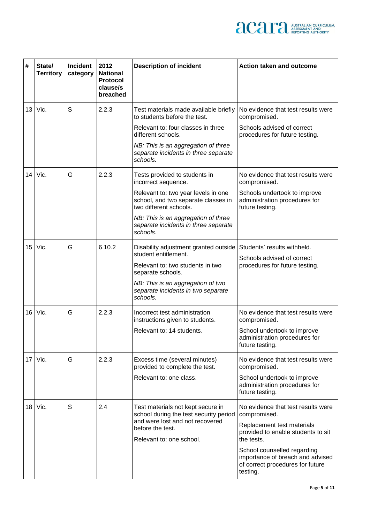

| #  | State/<br><b>Territory</b> | <b>Incident</b><br>category | 2012<br><b>National</b><br><b>Protocol</b><br>clause/s<br>breached | <b>Description of incident</b>                                                                       | Action taken and outcome                                                                                        |
|----|----------------------------|-----------------------------|--------------------------------------------------------------------|------------------------------------------------------------------------------------------------------|-----------------------------------------------------------------------------------------------------------------|
| 13 | Vic.                       | S                           | 2.2.3                                                              | Test materials made available briefly<br>to students before the test.                                | No evidence that test results were<br>compromised.                                                              |
|    |                            |                             |                                                                    | Relevant to: four classes in three<br>different schools.                                             | Schools advised of correct<br>procedures for future testing.                                                    |
|    |                            |                             |                                                                    | NB: This is an aggregation of three<br>separate incidents in three separate<br>schools.              |                                                                                                                 |
| 14 | Vic.                       | G                           | 2.2.3                                                              | Tests provided to students in<br>incorrect sequence.                                                 | No evidence that test results were<br>compromised.                                                              |
|    |                            |                             |                                                                    | Relevant to: two year levels in one<br>school, and two separate classes in<br>two different schools. | Schools undertook to improve<br>administration procedures for<br>future testing.                                |
|    |                            |                             |                                                                    | NB: This is an aggregation of three<br>separate incidents in three separate<br>schools.              |                                                                                                                 |
| 15 | Vic.                       | G                           | 6.10.2                                                             | Disability adjustment granted outside   Students' results withheld.<br>student entitlement.          | Schools advised of correct                                                                                      |
|    |                            |                             |                                                                    | Relevant to: two students in two<br>separate schools.                                                | procedures for future testing.                                                                                  |
|    |                            |                             |                                                                    | NB: This is an aggregation of two<br>separate incidents in two separate<br>schools.                  |                                                                                                                 |
| 16 | Vic.                       | G                           | 2.2.3                                                              | Incorrect test administration<br>instructions given to students.                                     | No evidence that test results were<br>compromised.                                                              |
|    |                            |                             |                                                                    | Relevant to: 14 students.                                                                            | School undertook to improve<br>administration procedures for<br>future testing.                                 |
| 17 | Vic.                       | G                           | 2.2.3                                                              | Excess time (several minutes)<br>provided to complete the test.                                      | No evidence that test results were<br>compromised.                                                              |
|    |                            |                             |                                                                    | Relevant to: one class.                                                                              | School undertook to improve<br>administration procedures for<br>future testing.                                 |
|    | $18$   Vic.                | S                           | 2.4                                                                | Test materials not kept secure in<br>school during the test security period                          | No evidence that test results were<br>compromised.                                                              |
|    |                            |                             |                                                                    | and were lost and not recovered<br>before the test.<br>Relevant to: one school.                      | Replacement test materials<br>provided to enable students to sit<br>the tests.                                  |
|    |                            |                             |                                                                    |                                                                                                      | School counselled regarding<br>importance of breach and advised<br>of correct procedures for future<br>testing. |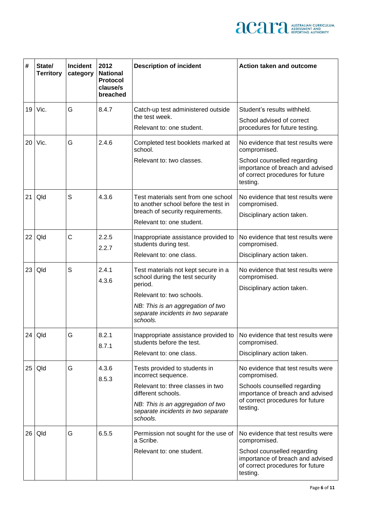

| #               | State/<br><b>Territory</b> | <b>Incident</b><br>category | 2012<br><b>National</b><br>Protocol<br>clause/s<br>breached | <b>Description of incident</b>                                                                                                                                                                         | <b>Action taken and outcome</b>                                                                                                                                        |
|-----------------|----------------------------|-----------------------------|-------------------------------------------------------------|--------------------------------------------------------------------------------------------------------------------------------------------------------------------------------------------------------|------------------------------------------------------------------------------------------------------------------------------------------------------------------------|
| 19              | Vic.                       | G                           | 8.4.7                                                       | Catch-up test administered outside<br>the test week.<br>Relevant to: one student.                                                                                                                      | Student's results withheld.<br>School advised of correct<br>procedures for future testing.                                                                             |
| 20 <sub>1</sub> | Vic.                       | G                           | 2.4.6                                                       | Completed test booklets marked at<br>school.<br>Relevant to: two classes.                                                                                                                              | No evidence that test results were<br>compromised.<br>School counselled regarding<br>importance of breach and advised<br>of correct procedures for future<br>testing.  |
| 21              | Qld                        | S                           | 4.3.6                                                       | Test materials sent from one school<br>to another school before the test in<br>breach of security requirements.<br>Relevant to: one student.                                                           | No evidence that test results were<br>compromised.<br>Disciplinary action taken.                                                                                       |
| 22              | Qld                        | $\mathsf{C}$                | 2.2.5<br>2.2.7                                              | Inappropriate assistance provided to<br>students during test.<br>Relevant to: one class.                                                                                                               | No evidence that test results were<br>compromised.<br>Disciplinary action taken.                                                                                       |
| 23              | Qld                        | S                           | 2.4.1<br>4.3.6                                              | Test materials not kept secure in a<br>school during the test security<br>period.<br>Relevant to: two schools.<br>NB: This is an aggregation of two<br>separate incidents in two separate<br>schools.  | No evidence that test results were<br>compromised.<br>Disciplinary action taken.                                                                                       |
|                 | $24$ Qld                   | G                           | 8.2.1<br>8.7.1                                              | Inappropriate assistance provided to   No evidence that test results were<br>students before the test.<br>Relevant to: one class.                                                                      | compromised.<br>Disciplinary action taken.                                                                                                                             |
|                 | $25$ Qld                   | G                           | 4.3.6<br>8.5.3                                              | Tests provided to students in<br>incorrect sequence.<br>Relevant to: three classes in two<br>different schools.<br>NB: This is an aggregation of two<br>separate incidents in two separate<br>schools. | No evidence that test results were<br>compromised.<br>Schools counselled regarding<br>importance of breach and advised<br>of correct procedures for future<br>testing. |
|                 | $26$ Qld                   | G                           | 6.5.5                                                       | Permission not sought for the use of<br>a Scribe.<br>Relevant to: one student.                                                                                                                         | No evidence that test results were<br>compromised.<br>School counselled regarding<br>importance of breach and advised<br>of correct procedures for future<br>testing.  |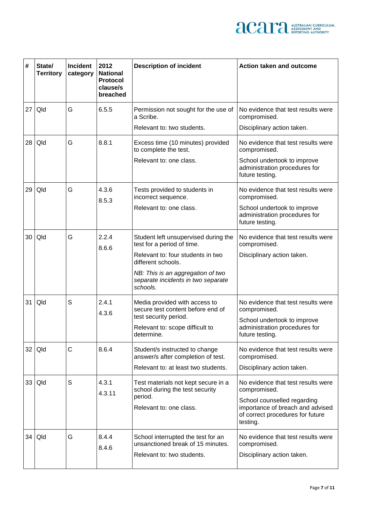

| #               | State/<br><b>Territory</b> | <b>Incident</b><br>category | 2012<br><b>National</b><br><b>Protocol</b><br>clause/s<br>breached | <b>Description of incident</b>                                                      | <b>Action taken and outcome</b>                                                  |                                                    |
|-----------------|----------------------------|-----------------------------|--------------------------------------------------------------------|-------------------------------------------------------------------------------------|----------------------------------------------------------------------------------|----------------------------------------------------|
| 27              | Qld                        | G                           | 6.5.5                                                              | Permission not sought for the use of<br>a Scribe.                                   | No evidence that test results were<br>compromised.                               |                                                    |
|                 |                            |                             |                                                                    | Relevant to: two students.                                                          | Disciplinary action taken.                                                       |                                                    |
| 28 I            | Qld                        | G                           | 8.8.1                                                              | Excess time (10 minutes) provided<br>to complete the test.                          | No evidence that test results were<br>compromised.                               |                                                    |
|                 |                            |                             |                                                                    | Relevant to: one class.                                                             | School undertook to improve<br>administration procedures for<br>future testing.  |                                                    |
| 29              | Qld                        | G                           | 4.3.6<br>8.5.3                                                     | Tests provided to students in<br>incorrect sequence.                                | No evidence that test results were<br>compromised.                               |                                                    |
|                 |                            |                             |                                                                    | Relevant to: one class.                                                             | School undertook to improve<br>administration procedures for<br>future testing.  |                                                    |
| 30 <sub>1</sub> | Qld                        | G                           | 2.2.4<br>8.6.6                                                     | Student left unsupervised during the<br>test for a period of time.                  | No evidence that test results were<br>compromised.                               |                                                    |
|                 |                            |                             |                                                                    | Relevant to: four students in two<br>different schools.                             | Disciplinary action taken.                                                       |                                                    |
|                 |                            |                             |                                                                    | NB: This is an aggregation of two<br>separate incidents in two separate<br>schools. |                                                                                  |                                                    |
| 31              | Qld                        | S                           |                                                                    | 2.4.1<br>4.3.6                                                                      | Media provided with access to<br>secure test content before end of               | No evidence that test results were<br>compromised. |
|                 |                            |                             |                                                                    | test security period.<br>Relevant to: scope difficult to<br>determine.              | School undertook to improve<br>administration procedures for<br>future testing.  |                                                    |
| 32 <sub>1</sub> | Qld                        | C                           | 8.6.4                                                              | Student/s instructed to change<br>answer/s after completion of test.                | No evidence that test results were<br>compromised.                               |                                                    |
|                 |                            |                             |                                                                    | Relevant to: at least two students.                                                 | Disciplinary action taken.                                                       |                                                    |
| 33 <sub>1</sub> | Qld                        | S                           | 4.3.1                                                              | Test materials not kept secure in a<br>school during the test security              | No evidence that test results were<br>compromised.                               |                                                    |
|                 |                            |                             | 4.3.11                                                             | period.                                                                             | School counselled regarding                                                      |                                                    |
|                 |                            |                             |                                                                    | Relevant to: one class.                                                             | importance of breach and advised<br>of correct procedures for future<br>testing. |                                                    |
|                 | 34   Qld                   | G                           | 8.4.4<br>8.4.6                                                     | School interrupted the test for an<br>unsanctioned break of 15 minutes.             | No evidence that test results were<br>compromised.                               |                                                    |
|                 |                            |                             |                                                                    | Relevant to: two students.                                                          | Disciplinary action taken.                                                       |                                                    |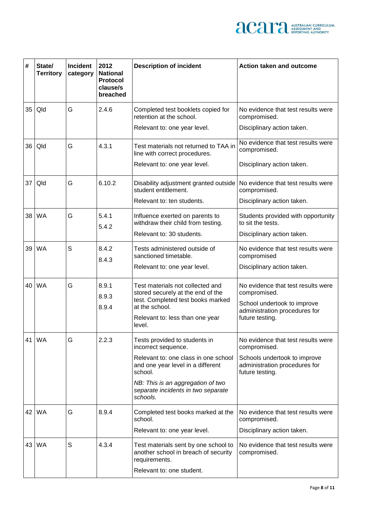

| #    | State/<br><b>Territory</b> | <b>Incident</b><br>category | 2012<br><b>National</b><br>Protocol<br>clause/s<br>breached | <b>Description of incident</b>                                                                     | <b>Action taken and outcome</b>                                                  |
|------|----------------------------|-----------------------------|-------------------------------------------------------------|----------------------------------------------------------------------------------------------------|----------------------------------------------------------------------------------|
| 35   | Qld                        | G                           | 2.4.6                                                       | Completed test booklets copied for<br>retention at the school.                                     | No evidence that test results were<br>compromised.                               |
|      |                            |                             |                                                             | Relevant to: one year level.                                                                       | Disciplinary action taken.                                                       |
|      | 36   Qld                   | G                           | 4.3.1                                                       | Test materials not returned to TAA in<br>line with correct procedures.                             | No evidence that test results were<br>compromised.                               |
|      |                            |                             |                                                             | Relevant to: one year level.                                                                       | Disciplinary action taken.                                                       |
| 37 I | Qld                        | G                           | 6.10.2                                                      | Disability adjustment granted outside   No evidence that test results were<br>student entitlement. | compromised.                                                                     |
|      |                            |                             |                                                             | Relevant to: ten students.                                                                         | Disciplinary action taken.                                                       |
|      | 38 WA                      | G                           | 5.4.1<br>5.4.2                                              | Influence exerted on parents to<br>withdraw their child from testing.                              | Students provided with opportunity<br>to sit the tests.                          |
|      |                            |                             |                                                             | Relevant to: 30 students.                                                                          | Disciplinary action taken.                                                       |
|      | 39 WA                      | S                           | 8.4.2                                                       | Tests administered outside of<br>sanctioned timetable.                                             | No evidence that test results were<br>compromised                                |
|      |                            |                             | 8.4.3                                                       | Relevant to: one year level.                                                                       | Disciplinary action taken.                                                       |
|      | 40 WA                      | G                           | 8.9.1                                                       | Test materials not collected and<br>stored securely at the end of the                              | No evidence that test results were<br>compromised.                               |
|      |                            |                             | 8.9.3<br>8.9.4                                              | test. Completed test books marked<br>at the school.                                                | School undertook to improve                                                      |
|      |                            |                             |                                                             | Relevant to: less than one year<br>level.                                                          | administration procedures for<br>future testing.                                 |
|      | 41 WA                      | G                           | 2.2.3                                                       | Tests provided to students in<br>incorrect sequence.                                               | No evidence that test results were<br>compromised.                               |
|      |                            |                             |                                                             | Relevant to: one class in one school<br>and one year level in a different<br>school.               | Schools undertook to improve<br>administration procedures for<br>future testing. |
|      |                            |                             |                                                             | NB: This is an aggregation of two<br>separate incidents in two separate<br>schools.                |                                                                                  |
|      | 42 WA                      | G                           | 8.9.4                                                       | Completed test books marked at the<br>school.                                                      | No evidence that test results were<br>compromised.                               |
|      |                            |                             |                                                             | Relevant to: one year level.                                                                       | Disciplinary action taken.                                                       |
|      | 43 WA                      | S                           | 4.3.4                                                       | Test materials sent by one school to<br>another school in breach of security<br>requirements.      | No evidence that test results were<br>compromised.                               |
|      |                            |                             |                                                             | Relevant to: one student.                                                                          |                                                                                  |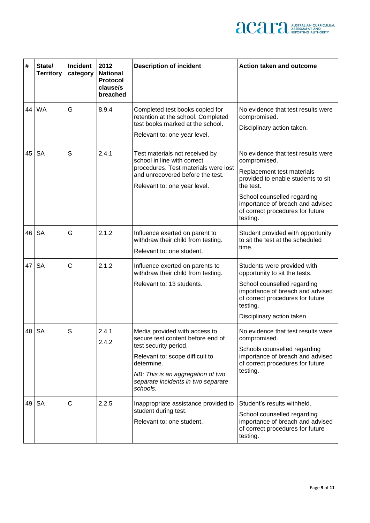

| #  | State/<br><b>Territory</b> | <b>Incident</b><br>category | 2012<br><b>National</b><br>Protocol<br>clause/s<br>breached | <b>Description of incident</b>                                                                                                                                                                                                      | <b>Action taken and outcome</b>                                                                                                                                                                                                                        |
|----|----------------------------|-----------------------------|-------------------------------------------------------------|-------------------------------------------------------------------------------------------------------------------------------------------------------------------------------------------------------------------------------------|--------------------------------------------------------------------------------------------------------------------------------------------------------------------------------------------------------------------------------------------------------|
|    | 44 IWA                     | G                           | 8.9.4                                                       | Completed test books copied for<br>retention at the school. Completed<br>test books marked at the school.<br>Relevant to: one year level.                                                                                           | No evidence that test results were<br>compromised.<br>Disciplinary action taken.                                                                                                                                                                       |
| 45 | <b>SA</b>                  | S                           | 2.4.1                                                       | Test materials not received by<br>school in line with correct<br>procedures. Test materials were lost<br>and unrecovered before the test.<br>Relevant to: one year level.                                                           | No evidence that test results were<br>compromised.<br>Replacement test materials<br>provided to enable students to sit<br>the test.<br>School counselled regarding<br>importance of breach and advised<br>of correct procedures for future<br>testing. |
|    | 46 SA                      | G                           | 2.1.2                                                       | Influence exerted on parent to<br>withdraw their child from testing.<br>Relevant to: one student.                                                                                                                                   | Student provided with opportunity<br>to sit the test at the scheduled<br>time.                                                                                                                                                                         |
|    | 47   SA                    | C                           | 2.1.2                                                       | Influence exerted on parents to<br>withdraw their child from testing.<br>Relevant to: 13 students.                                                                                                                                  | Students were provided with<br>opportunity to sit the tests.<br>School counselled regarding<br>importance of breach and advised<br>of correct procedures for future<br>testing.<br>Disciplinary action taken.                                          |
|    | 48 SA                      | S                           | 2.4.1<br>2.4.2                                              | Media provided with access to<br>secure test content before end of<br>test security period.<br>Relevant to: scope difficult to<br>determine.<br>NB: This is an aggregation of two<br>separate incidents in two separate<br>schools. | No evidence that test results were<br>compromised.<br>Schools counselled regarding<br>importance of breach and advised<br>of correct procedures for future<br>testing.                                                                                 |
|    | $49$ SA                    | $\mathsf{C}$                | 2.2.5                                                       | Inappropriate assistance provided to<br>student during test.<br>Relevant to: one student.                                                                                                                                           | Student's results withheld.<br>School counselled regarding<br>importance of breach and advised<br>of correct procedures for future<br>testing.                                                                                                         |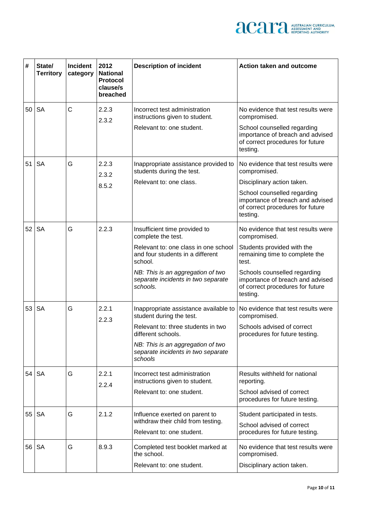

| #  | State/<br><b>Territory</b> | <b>Incident</b><br>category | 2012<br><b>National</b><br>Protocol<br>clause/s<br>breached | <b>Description of incident</b>                                                      | <b>Action taken and outcome</b>                                                                                  |
|----|----------------------------|-----------------------------|-------------------------------------------------------------|-------------------------------------------------------------------------------------|------------------------------------------------------------------------------------------------------------------|
| 50 | <b>SA</b>                  | C                           | 2.2.3<br>2.3.2                                              | Incorrect test administration<br>instructions given to student.                     | No evidence that test results were<br>compromised.                                                               |
|    |                            |                             |                                                             | Relevant to: one student.                                                           | School counselled regarding<br>importance of breach and advised<br>of correct procedures for future<br>testing.  |
| 51 | <b>SA</b>                  | G                           | 2.2.3<br>2.3.2                                              | Inappropriate assistance provided to<br>students during the test.                   | No evidence that test results were<br>compromised.                                                               |
|    |                            |                             | 8.5.2                                                       | Relevant to: one class.                                                             | Disciplinary action taken.                                                                                       |
|    |                            |                             |                                                             |                                                                                     | School counselled regarding<br>importance of breach and advised<br>of correct procedures for future<br>testing.  |
| 52 | <b>SA</b>                  | G                           | 2.2.3                                                       | Insufficient time provided to<br>complete the test.                                 | No evidence that test results were<br>compromised.                                                               |
|    |                            |                             |                                                             | Relevant to: one class in one school<br>and four students in a different<br>school. | Students provided with the<br>remaining time to complete the<br>test.                                            |
|    |                            |                             |                                                             | NB: This is an aggregation of two<br>separate incidents in two separate<br>schools. | Schools counselled regarding<br>importance of breach and advised<br>of correct procedures for future<br>testing. |
| 53 | <b>SA</b>                  | G                           | 2.2.1<br>2.2.3                                              | Inappropriate assistance available to<br>student during the test.                   | No evidence that test results were<br>compromised.                                                               |
|    |                            |                             |                                                             | Relevant to: three students in two<br>different schools.                            | Schools advised of correct<br>procedures for future testing.                                                     |
|    |                            |                             |                                                             | NB: This is an aggregation of two<br>separate incidents in two separate<br>schools  |                                                                                                                  |
| 54 | <b>SA</b>                  | G                           | 2.2.1<br>2.2.4                                              | Incorrect test administration<br>instructions given to student.                     | Results withheld for national<br>reporting.                                                                      |
|    |                            |                             |                                                             | Relevant to: one student.                                                           | School advised of correct<br>procedures for future testing.                                                      |
| 55 | <b>SA</b>                  | G                           | 2.1.2                                                       | Influence exerted on parent to                                                      | Student participated in tests.                                                                                   |
|    |                            |                             |                                                             | withdraw their child from testing.<br>Relevant to: one student.                     | School advised of correct<br>procedures for future testing.                                                      |
| 56 | <b>SA</b>                  | G                           | 8.9.3                                                       | Completed test booklet marked at<br>the school.                                     | No evidence that test results were<br>compromised.                                                               |
|    |                            |                             |                                                             | Relevant to: one student.                                                           | Disciplinary action taken.                                                                                       |